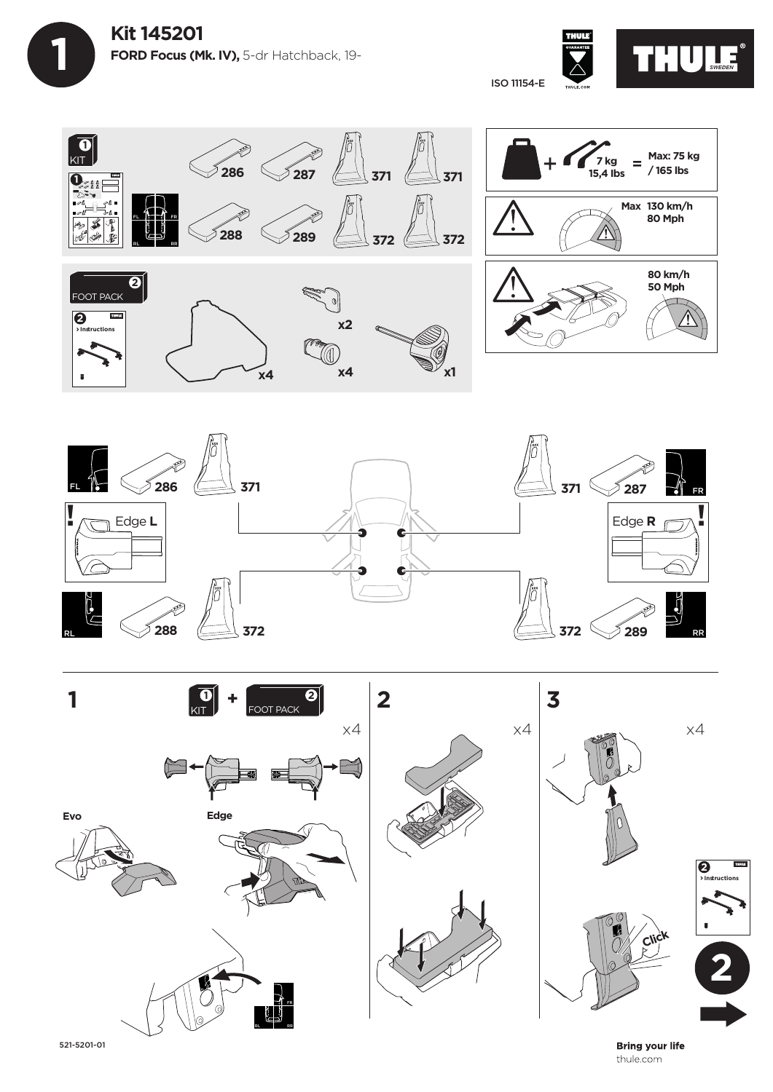









521-5201-01

**Bring your life** thule.com